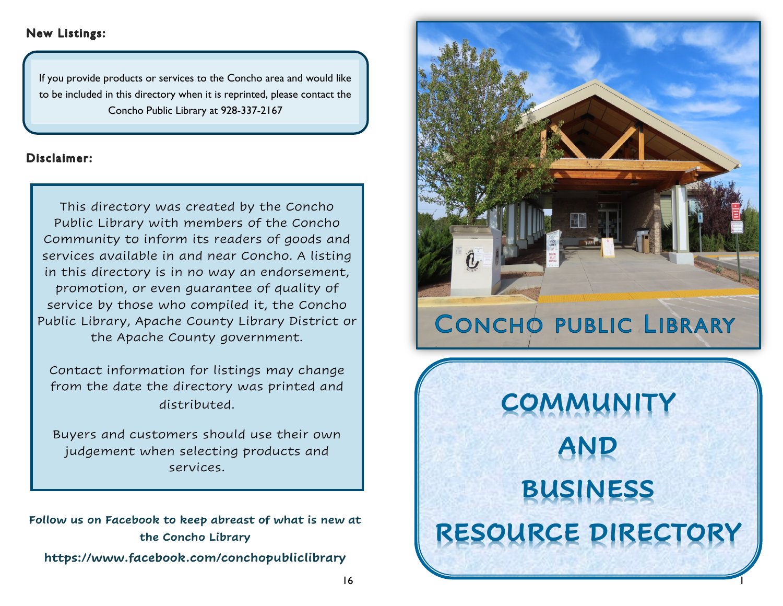# **New Listings:**

If you provide products or services to the Concho area and would like to be included in this directory when it is reprinted, please contact the Concho Public Library at 928-337-2167

# Disclaimer:

This directory was created by the Concho Public Library with members of the Concho Community to inform its readers of goods and services available in and near Concho. A listing in this directory is in no way an endorsement, promotion, or even guarantee of quality of service by those who compiled it, the Concho Public Library, Apache County Library District or the Apache County government.

Contact information for listings may change from the date the directory was printed and distributed.

Buyers and customers should use their own judgement when selecting products and services.

**Follow us on Facebook to keep abreast of what is new at the Concho Library https://www.facebook.com/conchopubliclibrary**



**RESOURCE DIRECTORY**

1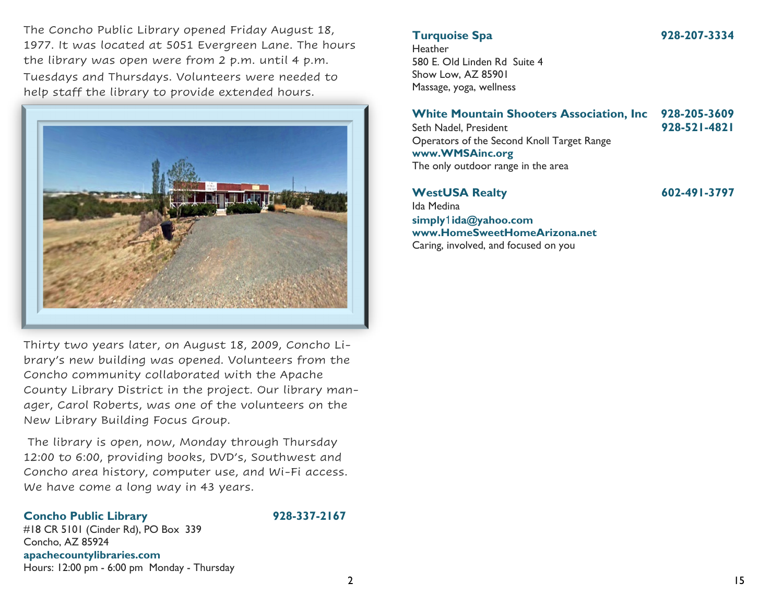The Concho Public Library opened Friday August 18, 1977. It was located at 5051 Evergreen Lane. The hours the library was open were from 2 p.m. until 4 p.m. Tuesdays and Thursdays. Volunteers were needed to help staff the library to provide extended hours.



Thirty two years later, on August 18, 2009, Concho Library's new building was opened. Volunteers from the Concho community collaborated with the Apache County Library District in the project. Our library manager, Carol Roberts, was one of the volunteers on the New Library Building Focus Group.

The library is open, now, Monday through Thursday 12:00 to 6:00, providing books, DVD's, Southwest and Concho area history, computer use, and Wi-Fi access. We have come a long way in 43 years.

### **Concho Public Library 928-337-2167**

#18 CR 5101 (Cinder Rd), PO Box 339 Concho, AZ 85924 **apachecountylibraries.com** Hours: 12:00 pm - 6:00 pm Monday - Thursday

# **Turquoise Spa 928-207-3334**

**Heather** 580 E. Old Linden Rd Suite 4 Show Low, AZ 85901 Massage, yoga, wellness

### **White Mountain Shooters Association, Inc 928-205-3609** Seth Nadel, President **928-521-4821**

Operators of the Second Knoll Target Range **www.WMSAinc.org** The only outdoor range in the area

### **WestUSA Realty 602-491-3797**

Ida Medina **simply**1**ida@yahoo.com www.HomeSweetHomeArizona.net** Caring, involved, and focused on you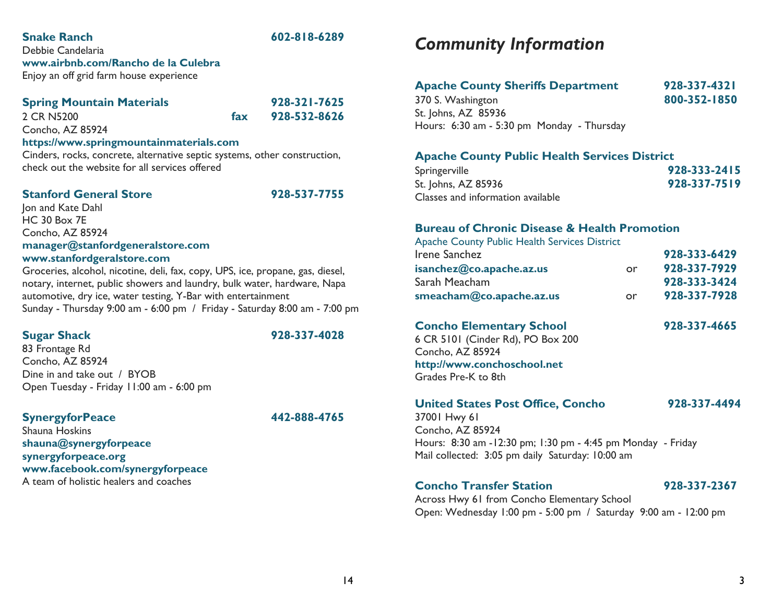# **Snake Ranch 602-818-6289**

Debbie Candelaria **www.airbnb.com/Rancho de la Culebra** Enjoy an off grid farm house experience

### **Spring Mountain Materials 928-321-7625**

2 CR N5200 **fax 928-532-8626**

Concho, AZ 85924 **https://www.springmountainmaterials.com**

Cinders, rocks, concrete, alternative septic systems, other construction, check out the website for all services offered

### **Stanford General Store 928-537-7755**

Jon and Kate Dahl HC 30 Box 7E Concho, AZ 85924 **manager@stanfordgeneralstore.com www.stanfordgeralstore.com**

Groceries, alcohol, nicotine, deli, fax, copy, UPS, ice, propane, gas, diesel, notary, internet, public showers and laundry, bulk water, hardware, Napa automotive, dry ice, water testing, Y-Bar with entertainment Sunday - Thursday 9:00 am - 6:00 pm / Friday - Saturday 8:00 am - 7:00 pm

**Sugar Shack 928-337-4028**

83 Frontage Rd Concho, AZ 85924 Dine in and take out / BYOB Open Tuesday - Friday 11:00 am - 6:00 pm

### **SynergyforPeace 442-888-4765**

Shauna Hoskins **shauna@synergyforpeace synergyforpeace.org www.facebook.com/synergyforpeace** A team of holistic healers and coaches

# *Community Information*

| <b>Apache County Sheriffs Department</b>   | 928-337-4321 |
|--------------------------------------------|--------------|
| 370 S. Washington                          | 800-352-1850 |
| St. Johns, AZ 85936                        |              |
| Hours: 6:30 am - 5:30 pm Monday - Thursday |              |

### **Apache County Public Health Services District**

| Springerville                     | 928-333-2415 |
|-----------------------------------|--------------|
| St. Johns, AZ 85936               | 928-337-7519 |
| Classes and information available |              |

### **Bureau of Chronic Disease & Health Promotion**

| <b>Apache County Public Health Services District</b> |    |              |
|------------------------------------------------------|----|--------------|
| Irene Sanchez                                        |    | 928-333-6429 |
| isanchez@co.apache.az.us                             | or | 928-337-7929 |
| Sarah Meacham                                        |    | 928-333-3424 |
| smeacham@co.apache.az.us                             | or | 928-337-7928 |

# **Concho Elementary School 928-337-4665**

6 CR 5101 (Cinder Rd), PO Box 200 Concho, AZ 85924 **http://www.conchoschool.net**  Grades Pre-K to 8th

### **United States Post Office, Concho 928-337-4494**

37001 Hwy 61 Concho, AZ 85924 Hours: 8:30 am -12:30 pm; 1:30 pm - 4:45 pm Monday - Friday Mail collected: 3:05 pm daily Saturday: 10:00 am

# **Concho Transfer Station 928-337-2367**

Across Hwy 61 from Concho Elementary School Open: Wednesday 1:00 pm - 5:00 pm / Saturday 9:00 am - 12:00 pm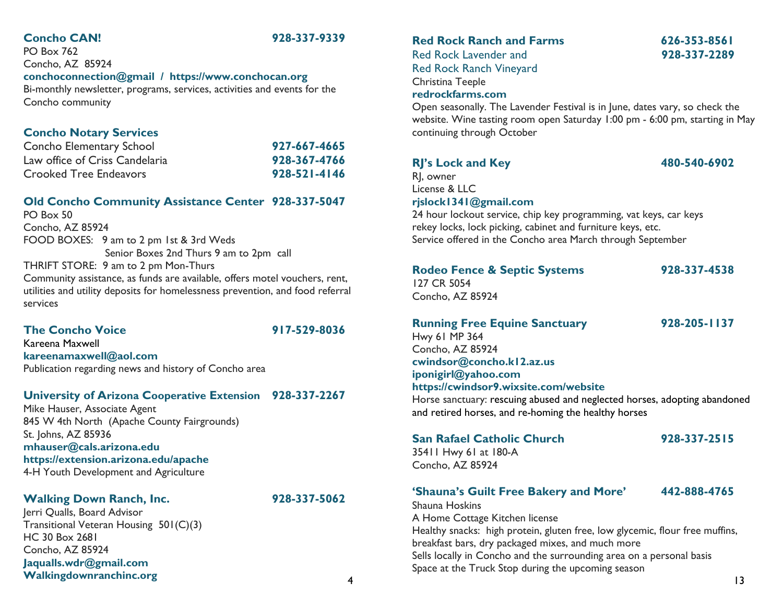# **Concho CAN! 928-337-9339**

PO Box 762 Concho, AZ 85924 **conchoconnection@gmail / https://www.conchocan.org** Bi-monthly newsletter, programs, services, activities and events for the Concho community

# **Concho Notary Services**

| Concho Elementary School       | 927-667-4665 |
|--------------------------------|--------------|
| Law office of Criss Candelaria | 928-367-4766 |
| Crooked Tree Endeavors         | 928-521-4146 |

# **Old Concho Community Assistance Center 928-337-5047**

PO Box 50 Concho, AZ 85924 FOOD BOXES: 9 am to 2 pm 1st & 3rd Weds Senior Boxes 2nd Thurs 9 am to 2pm call THRIFT STORE: 9 am to 2 pm Mon-Thurs Community assistance, as funds are available, offers motel vouchers, rent,

utilities and utility deposits for homelessness prevention, and food referral services

### **The Concho Voice 917-529-8036**

Kareena Maxwell **kareenamaxwell@aol.com** Publication regarding news and history of Concho area

# **University of Arizona Cooperative Extension 928-337-2267**

Mike Hauser, Associate Agent 845 W 4th North (Apache County Fairgrounds) St. Johns, AZ 85936 **mhauser@cals.arizona.edu https://extension.arizona.edu/apache** 4-H Youth Development and Agriculture

### **Walking Down Ranch, Inc. 928-337-5062** Jerri Qualls, Board Advisor

**Jaqualls.wdr@gmail.com**

HC 30 Box 2681 Concho, AZ 85924

Transitional Veteran Housing 501(C)(3)

# **Red Rock Ranch and Farms 626-353-8561**

Red Rock Lavender and **928-337-2289** Red Rock Ranch Vineyard

# Christina Teeple

### **redrockfarms.com**

Open seasonally. The Lavender Festival is in June, dates vary, so check the website. Wine tasting room open Saturday 1:00 pm - 6:00 pm, starting in May continuing through October

# **RJ's Lock and Key 480-540-6902**

RJ, owner License & LLC

### **rjslock1341@gmail.com**

24 hour lockout service, chip key programming, vat keys, car keys rekey locks, lock picking, cabinet and furniture keys, etc. Service offered in the Concho area March through September

# **Rodeo Fence & Septic Systems 928-337-4538**

127 CR 5054 Concho, AZ 85924

### **Running Free Equine Sanctuary 928-205-1137**

Hwy 61 MP 364 Concho, AZ 85924 **cwindsor@concho.k12.az.us iponigirl@yahoo.com https://cwindsor9.wixsite.com/website**

Horse sanctuary: rescuing abused and neglected horses, adopting abandoned and retired horses, and re-homing the healthy horses

### **San Rafael Catholic Church 928-337-2515**

35411 Hwy 61 at 180-A Concho, AZ 85924

# **'Shauna's Guilt Free Bakery and More' 442-888-4765**

Walkingdownranchinc.org **13**<br>13 Shauna Hoskins A Home Cottage Kitchen license Healthy snacks: high protein, gluten free, low glycemic, flour free muffins, breakfast bars, dry packaged mixes, and much more Sells locally in Concho and the surrounding area on a personal basis Space at the Truck Stop during the upcoming season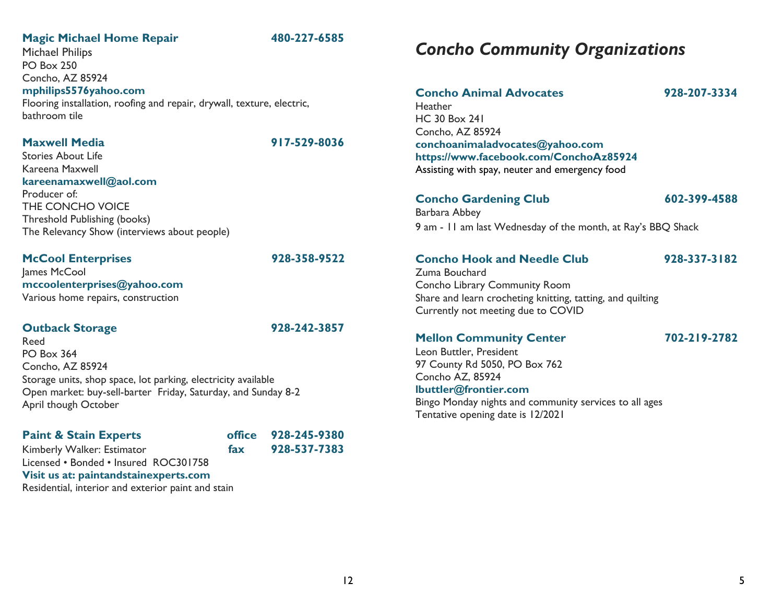# **Magic Michael Home Repair 480-227-6585**

Michael Philips PO Box 250 Concho, AZ 85924 **mphilips5576yahoo.com** Flooring installation, roofing and repair, drywall, texture, electric, bathroom tile

### **Maxwell Media 917-529-8036**

Stories About Life Kareena Maxwell **kareenamaxwell@aol.com** Producer of: THE CONCHO VOICE Threshold Publishing (books) The Relevancy Show (interviews about people)

# **McCool Enterprises 928-358-9522**

James McCool **mccoolenterprises@yahoo.com** Various home repairs, construction

### **Outback Storage 928-242-3857**

Reed

PO Box 364 Concho, AZ 85924 Storage units, shop space, lot parking, electricity available Open market: buy-sell-barter Friday, Saturday, and Sunday 8-2 April though October

# **Paint & Stain Experts office 928-245-9380** Kimberly Walker: Estimator **fax 928-537-7383** Licensed • Bonded • Insured ROC301758 **Visit us at: paintandstainexperts.com**

Residential, interior and exterior paint and stain

# *Concho Community Organizations*

| <b>Concho Animal Advocates</b>                 | 928-207-3334 |
|------------------------------------------------|--------------|
| Heather                                        |              |
| <b>HC 30 Box 241</b>                           |              |
| Concho, AZ 85924                               |              |
| conchoanimaladvocates@yahoo.com                |              |
| https://www.facebook.com/ConchoAz85924         |              |
| Assisting with spay, neuter and emergency food |              |
| <b>Concho Gardening Club</b>                   | 602-399-4588 |

Barbara Abbey 9 am - 11 am last Wednesday of the month, at Ray's BBQ Shack

# **Concho Hook and Needle Club 928-337-3182**

Zuma Bouchard Concho Library Community Room Share and learn crocheting knitting, tatting, and quilting Currently not meeting due to COVID

# **Mellon Community Center 702-219-2782**

Leon Buttler, President 97 County Rd 5050, PO Box 762 Concho AZ, 85924 **lbuttler@frontier.com**

Bingo Monday nights and community services to all ages

Tentative opening date is 12/2021

12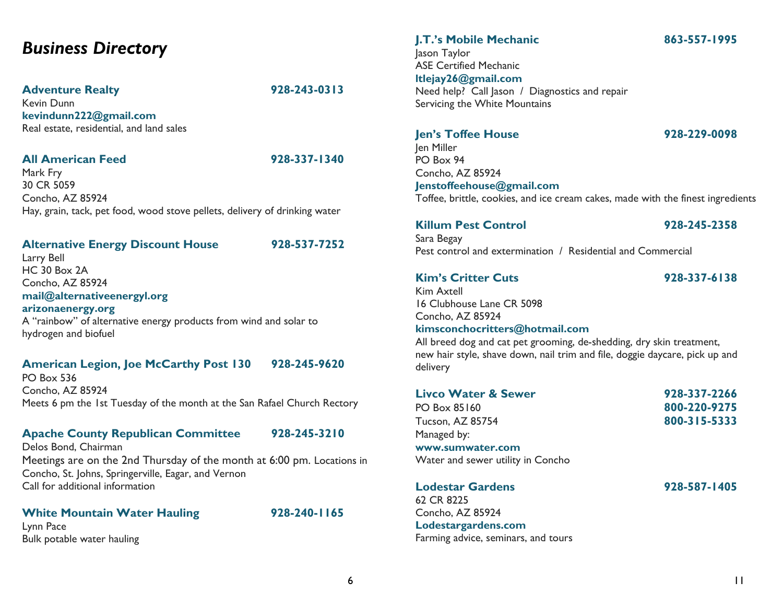# *Business Directory*

### **Adventure Realty 928-243-0313**

Kevin Dunn **kevindunn222@gmail.com** Real estate, residential, and land sales

### **All American Feed 928-337-1340**

Mark Fry 30 CR 5059 Concho, AZ 85924 Hay, grain, tack, pet food, wood stove pellets, delivery of drinking water

### **Alternative Energy Discount House 928-537-7252**

Larry Bell HC 30 Box 2A Concho, AZ 85924 **mail@alternativeenergyl.org arizonaenergy.org** A "rainbow" of alternative energy products from wind and solar to hydrogen and biofuel

# **American Legion, Joe McCarthy Post 130 928-245-9620**

PO Box 536 Concho, AZ 85924 Meets 6 pm the 1st Tuesday of the month at the San Rafael Church Rectory

# **Apache County Republican Committee 928-245-3210**

Delos Bond, Chairman Meetings are on the 2nd Thursday of the month at 6:00 pm. Locations in Concho, St. Johns, Springerville, Eagar, and Vernon Call for additional information

# **White Mountain Water Hauling 928-240-1165**

Lynn Pace Bulk potable water hauling

# **J.T.'s Mobile Mechanic 863-557-1995** Jason Taylor ASE Certified Mechanic

**ltlejay26@gmail.com** Need help? Call Jason / Diagnostics and repair Servicing the White Mountains

### **Jen's Toffee House 928-229-0098**

Jen Miller PO Box 94 Concho, AZ 85924 **Jenstoffeehouse@gmail.com** 

Toffee, brittle, cookies, and ice cream cakes, made with the finest ingredients

# **Killum Pest Control 928-245-2358**

Sara Begay Pest control and extermination / Residential and Commercial

# **Kim's Critter Cuts 928-337-6138**

Kim Axtell 16 Clubhouse Lane CR 5098 Concho, AZ 85924 **kimsconchocritters@hotmail.com**

All breed dog and cat pet grooming, de-shedding, dry skin treatment, new hair style, shave down, nail trim and file, doggie daycare, pick up and delivery

| <b>Livco Water &amp; Sewer</b>    | 928-337-2266 |
|-----------------------------------|--------------|
| PO Box 85160                      | 800-220-9275 |
| <b>Tucson, AZ 85754</b>           | 800-315-5333 |
| Managed by:                       |              |
| www.sumwater.com                  |              |
| Water and sewer utility in Concho |              |
| <b>Lodestar Gardens</b>           | 928-587-1405 |
| 62 CR 8225                        |              |

Concho, AZ 85924 **Lodestargardens.com** Farming advice, seminars, and tours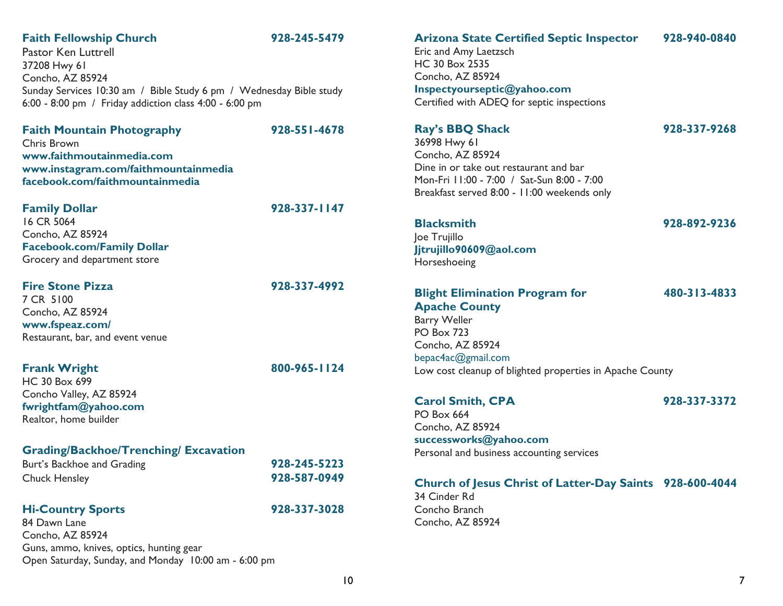# **Faith Fellowship Church 928-245-5479**

**Faith Mountain Photography 928-551-4678**

Pastor Ken Luttrell 37208 Hwy 61 Concho, AZ 85924 Sunday Services 10:30 am / Bible Study 6 pm / Wednesday Bible study 6:00 - 8:00 pm / Friday addiction class 4:00 - 6:00 pm

| <b>Faith Mountain Photography</b>    |
|--------------------------------------|
| Chris Brown                          |
| www.faithmoutainmedia.com            |
| www.instagram.com/faithmountainmedia |
| facebook.com/faithmountainmedia      |

### **Family Dollar 928-337-1147**

16 CR 5064 Concho, AZ 85924 **Facebook.com/Family Dollar** Grocery and department store

### **Fire Stone Pizza 928-337-4992**

7 CR 5100 Concho, AZ 85924 **www.fspeaz.com/** Restaurant, bar, and event venue

# **Frank Wright 800-965-1124**

HC 30 Box 699 Concho Valley, AZ 85924 **fwrightfam@yahoo.com** Realtor, home builder

# **Grading/Backhoe/Trenching/ Excavation**

| Burt's Backhoe and Grading | 928-245-5223 |
|----------------------------|--------------|
| <b>Chuck Hensley</b>       | 928-587-0949 |

### **Hi-Country Sports 928-337-3028**

84 Dawn Lane Concho, AZ 85924 Guns, ammo, knives, optics, hunting gear Open Saturday, Sunday, and Monday 10:00 am - 6:00 pm

### **Arizona State Certified Septic Inspector 928-940-0840**

Eric and Amy Laetzsch HC 30 Box 2535 Concho, AZ 85924 **Inspectyourseptic@yahoo.com** Certified with ADEQ for septic inspections

## **Ray's BBQ Shack 928-337-9268**

36998 Hwy 61 Concho, AZ 85924 Dine in or take out restaurant and bar Mon-Fri 11:00 - 7:00 / Sat-Sun 8:00 - 7:00 Breakfast served 8:00 - 11:00 weekends only

# **Blacksmith 928-892-9236**

Joe Trujillo **Jjtrujillo90609@aol.com** Horseshoeing

# **Blight Elimination Program for 480-313-4833 Apache County**  Barry Weller PO Box 723 Concho, AZ 85924 bepac4ac@gmail.com Low cost cleanup of blighted properties in Apache County

### **Carol Smith, CPA 928-337-3372**

PO Box 664 Concho, AZ 85924 **successworks@yahoo.com** Personal and business accounting services

# **Church of Jesus Christ of Latter-Day Saints 928-600-4044**

34 Cinder Rd Concho Branch Concho, AZ 85924